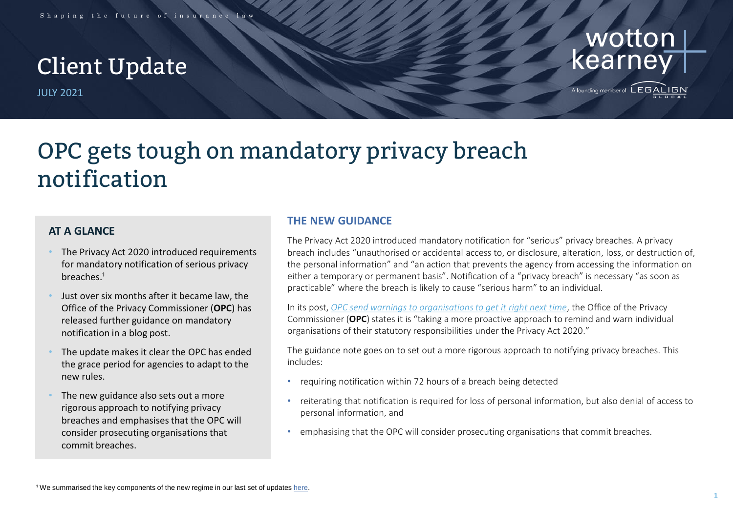# Client Update

JULY 2021



A founding member of  $\mathsf{LEGAI}$ 

# OPC gets tough on mandatory privacy breach notification

## **AT A GLANCE**

- The Privacy Act 2020 introduced requirements for mandatory notification of serious privacy breaches.<sup>1</sup>
- Just over six months after it became law, the Office of the Privacy Commissioner (**OPC**) has released further guidance on mandatory notification in a blog post.
- The update makes it clear the OPC has ended the grace period for agencies to adapt to the new rules.
- The new guidance also sets out a more rigorous approach to notifying privacy breaches and emphasises that the OPC will consider prosecuting organisations that commit breaches.

### **THE NEW GUIDANCE**

The Privacy Act 2020 introduced mandatory notification for "serious" privacy breaches. A privacy breach includes "unauthorised or accidental access to, or disclosure, alteration, loss, or destruction of, the personal information" and "an action that prevents the agency from accessing the information on either a temporary or permanent basis". Notification of a "privacy breach" is necessary "as soon as practicable" where the breach is likely to cause "serious harm" to an individual.

In its post, *OPC [send warnings to organisations to get it right next time](https://www.privacy.org.nz/blog/opc-sends-warnings-to-organisations-to-get-it-right-next-time/)*, the Office of the Privacy Commissioner (**OPC**) states it is "taking a more proactive approach to remind and warn individual organisations of their statutory responsibilities under the Privacy Act 2020."

The guidance note goes on to set out a more rigorous approach to notifying privacy breaches. This includes:

- requiring notification within 72 hours of a breach being detected
- reiterating that notification is required for loss of personal information, but also denial of access to personal information, and
- emphasising that the OPC will consider prosecuting organisations that commit breaches.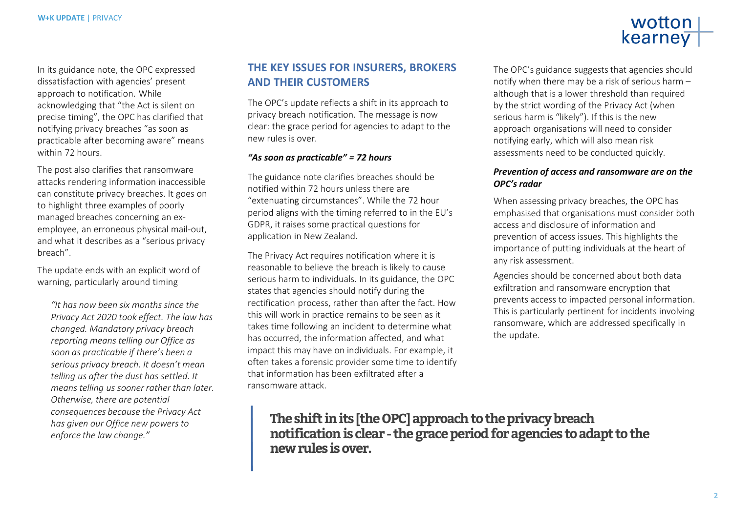

In its guidance note, the OPC expressed dissatisfaction with agencies' present approach to notification. While acknowledging that "the Act is silent on precise timing", the OPC has clarified that notifying privacy breaches "as soon as practicable after becoming aware" means within 72 hours.

The post also clarifies that ransomware attacks rendering information inaccessible can constitute privacy breaches. It goes on to highlight three examples of poorly managed breaches concerning an exemployee, an erroneous physical mail-out, and what it describes as a "serious privacy breach".

The update ends with an explicit word of warning, particularly around timing

*"It has now been six months since the Privacy Act 2020 took effect. The law has changed. Mandatory privacy breach reporting means telling our Office as soon as practicable if there's been a serious privacy breach. It doesn't mean telling us after the dust has settled. It means telling us sooner rather than later. Otherwise, there are potential consequences because the Privacy Act has given our Office new powers to enforce the law change."*

## **THE KEY ISSUES FOR INSURERS, BROKERS AND THEIR CUSTOMERS**

The OPC's update reflects a shift in its approach to privacy breach notification. The message is now clear: the grace period for agencies to adapt to the new rules is over.

#### *"As soon as practicable" = 72 hours*

The guidance note clarifies breaches should be notified within 72 hours unless there are "extenuating circumstances". While the 72 hour period aligns with the timing referred to in the EU's GDPR, it raises some practical questions for application in New Zealand.

The Privacy Act requires notification where it is reasonable to believe the breach is likely to cause serious harm to individuals. In its guidance, the OPC states that agencies should notify during the rectification process, rather than after the fact. How this will work in practice remains to be seen as it takes time following an incident to determine what has occurred, the information affected, and what impact this may have on individuals. For example, it often takes a forensic provider some time to identify that information has been exfiltrated after a ransomware attack.

The OPC's guidance suggests that agencies should notify when there may be a risk of serious harm – although that is a lower threshold than required by the strict wording of the Privacy Act (when serious harm is "likely"). If this is the new approach organisations will need to consider notifying early, which will also mean risk assessments need to be conducted quickly.

#### *Prevention of access and ransomware are on the OPC's radar*

When assessing privacy breaches, the OPC has emphasised that organisations must consider both access and disclosure of information and prevention of access issues. This highlights the importance of putting individuals at the heart of any risk assessment.

Agencies should be concerned about both data exfiltration and ransomware encryption that prevents access to impacted personal information. This is particularly pertinent for incidents involving ransomware, which are addressed specifically in the update.

**The shift in its [the OPC] approach to the privacy breach notification is clear - the grace period for agencies to adapt to the new rules is over.**